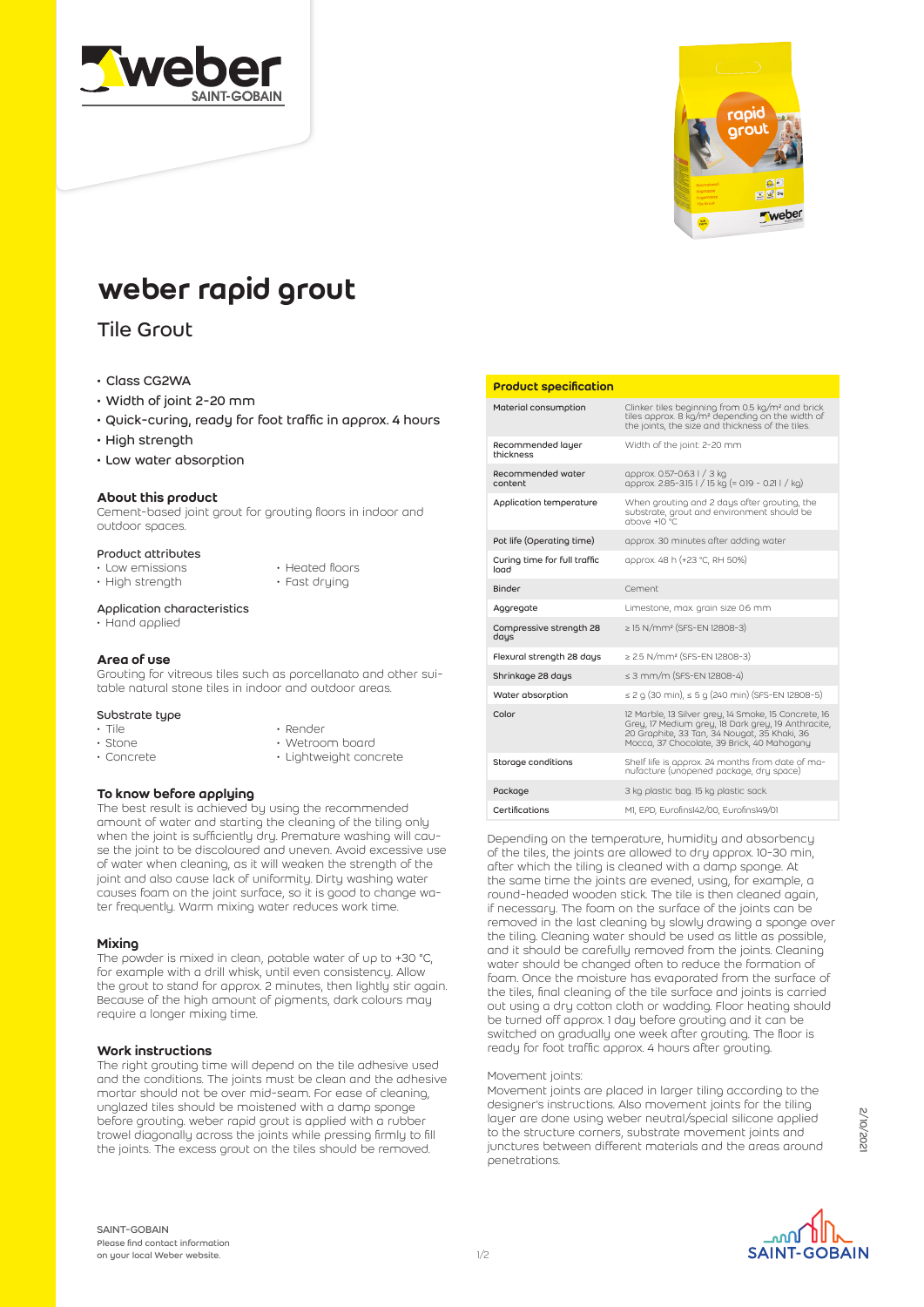



# weber rapid grout

## Tile Grout

## • Class CG2WA

- Width of joint 2-20 mm
- Quick-curing, ready for foot traffic in approx. 4 hours
- High strength
- Low water absorption

## About this product

Cement-based joint grout for grouting floors in indoor and outdoor spaces.

## Product attributes

- Low emissions
- High strength
- Heated floors • Fast drying

## Application characteristics

• Hand applied

## Area of use

Grouting for vitreous tiles such as porcellanato and other suitable natural stone tiles in indoor and outdoor areas.

### Substrate type

- Tile
- Stone
- Concrete
- Render
- Wetroom board • Lightweight concrete

## To know before applying

The best result is achieved by using the recommended amount of water and starting the cleaning of the tiling only when the joint is sufficiently dry. Premature washing will cause the joint to be discoloured and uneven. Avoid excessive use of water when cleaning, as it will weaken the strength of the joint and also cause lack of uniformity. Dirty washing water causes foam on the joint surface, so it is good to change water frequently. Warm mixing water reduces work time.

## **Mixing**

The powder is mixed in clean, potable water of up to +30 °C, for example with a drill whisk, until even consistency. Allow the grout to stand for approx. 2 minutes, then lightly stir again. Because of the high amount of pigments, dark colours may require a longer mixing time.

## Work instructions

The right grouting time will depend on the tile adhesive used and the conditions. The joints must be clean and the adhesive mortar should not be over mid-seam. For ease of cleaning, unglazed tiles should be moistened with a damp sponge before grouting. weber rapid grout is applied with a rubber trowel diagonally across the joints while pressing firmly to fill the joints. The excess grout on the tiles should be removed.

### Product specification

| Material consumption                 | Clinker tiles beginning from 0.5 kg/m <sup>2</sup> and brick<br>tiles approx. 8 kg/m <sup>2</sup> depending on the width of<br>the joints, the size and thickness of the tiles.                          |
|--------------------------------------|----------------------------------------------------------------------------------------------------------------------------------------------------------------------------------------------------------|
| Recommended layer<br>thickness       | Width of the joint: 2-20 mm                                                                                                                                                                              |
| Recommended water<br>content         | approx. 0.57-0.63   / 3 kg<br>approx. 2.85-3.15 l / 15 kg (= 0.19 - 0.21 l / kg)                                                                                                                         |
| Application temperature              | When grouting and 2 days after grouting, the<br>substrate, grout and environment should be<br>$10^{\circ}$ C.                                                                                            |
| Pot life (Operating time)            | approx. 30 minutes after adding water                                                                                                                                                                    |
| Curing time for full traffic<br>load | approx. 48 h (+23 °C, RH 50%)                                                                                                                                                                            |
| Binder                               | Cement                                                                                                                                                                                                   |
| Aggregate                            | Limestone, max. grain size 0.6 mm                                                                                                                                                                        |
| Compressive strength 28<br>days      | ≥ 15 N/mm <sup>2</sup> (SFS-EN 12808-3)                                                                                                                                                                  |
| Flexural strength 28 days            | $\geq$ 2.5 N/mm <sup>2</sup> (SFS-EN 12808-3)                                                                                                                                                            |
| Shrinkage 28 days                    | $\leq$ 3 mm/m (SFS-EN 12808-4)                                                                                                                                                                           |
| Water absorption                     | $\leq$ 2 g (30 min), $\leq$ 5 g (240 min) (SFS-EN 12808-5)                                                                                                                                               |
| Color                                | 12 Marble, 13 Silver grey, 14 Smoke, 15 Concrete, 16<br>Grey, 17 Medium grey, 18 Dark grey, 19 Anthracite,<br>20 Graphite, 33 Tan, 34 Nougat, 35 Khaki, 36<br>Mocca, 37 Chocolate, 39 Brick, 40 Mahogany |
| Storage conditions                   | Shelf life is approx. 24 months from date of ma-<br>nufacture (unopened package, dru space)                                                                                                              |
| Package                              | 3 kg plastic bag. 15 kg plastic sack.                                                                                                                                                                    |
| Certifications                       | MI, EPD, Eurofins142/00, Eurofins149/01                                                                                                                                                                  |

Depending on the temperature, humidity and absorbency of the tiles, the joints are allowed to dry approx. 10-30 min, after which the tiling is cleaned with a damp sponge. At the same time the joints are evened, using, for example, a round-headed wooden stick. The tile is then cleaned again, if necessary. The foam on the surface of the joints can be removed in the last cleaning by slowly drawing a sponge over the tiling. Cleaning water should be used as little as possible, and it should be carefully removed from the joints. Cleaning water should be changed often to reduce the formation of foam. Once the moisture has evaporated from the surface of the tiles, final cleaning of the tile surface and joints is carried out using a dry cotton cloth or wadding. Floor heating should be turned off approx. 1 day before grouting and it can be switched on gradually one week after grouting. The floor is ready for foot traffic approx. 4 hours after grouting.

#### Movement joints:

Movement joints are placed in larger tiling according to the designer's instructions. Also movement joints for the tiling layer are done using weber neutral/special silicone applied to the structure corners, substrate movement joints and junctures between different materials and the areas around penetrations.

ا∩ہہ **SAINT-GOBAIN**